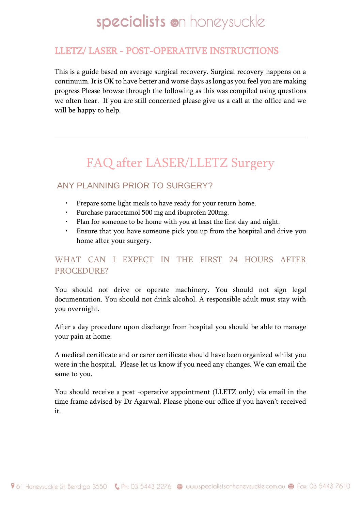## LLETZ/ LASER - POST-OPERATIVE INSTRUCTIONS

This is a guide based on average surgical recovery. Surgical recovery happens on a continuum. It is OK to have better and worse days as long as you feel you are making progress Please browse through the following as this was compiled using questions we often hear. If you are still concerned please give us a call at the office and we will be happy to help.

# FAQ after LASER/LLETZ Surgery

### ANY PLANNING PRIOR TO SURGERY?

- Prepare some light meals to have ready for your return home.
- Purchase paracetamol 500 mg and ibuprofen 200mg.
- Plan for someone to be home with you at least the first day and night.
- Ensure that you have someone pick you up from the hospital and drive you home after your surgery.

### WHAT CAN I EXPECT IN THE FIRST 24 HOURS AFTER PROCEDURE?

You should not drive or operate machinery. You should not sign legal documentation. You should not drink alcohol. A responsible adult must stay with you overnight.

After a day procedure upon discharge from hospital you should be able to manage your pain at home.

A medical certificate and or carer certificate should have been organized whilst you were in the hospital. Please let us know if you need any changes. We can email the same to you.

You should receive a post -operative appointment (LLETZ only) via email in the time frame advised by Dr Agarwal. Please phone our office if you haven't received it.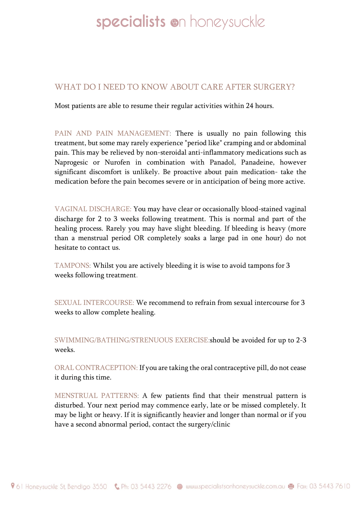#### WHAT DO I NEED TO KNOW ABOUT CARE AFTER SURGERY?

Most patients are able to resume their regular activities within 24 hours.

PAIN AND PAIN MANAGEMENT: There is usually no pain following this treatment, but some may rarely experience "period like" cramping and or abdominal pain. This may be relieved by non-steroidal anti-inflammatory medications such as Naprogesic or Nurofen in combination with Panadol, Panadeine, however significant discomfort is unlikely. Be proactive about pain medication- take the medication before the pain becomes severe or in anticipation of being more active.

VAGINAL DISCHARGE: You may have clear or occasionally blood-stained vaginal discharge for 2 to 3 weeks following treatment. This is normal and part of the healing process. Rarely you may have slight bleeding. If bleeding is heavy (more than a menstrual period OR completely soaks a large pad in one hour) do not hesitate to contact us.

TAMPONS: Whilst you are actively bleeding it is wise to avoid tampons for 3 weeks following treatment.

SEXUAL INTERCOURSE: We recommend to refrain from sexual intercourse for 3 weeks to allow complete healing.

SWIMMING/BATHING/STRENUOUS EXERCISE:should be avoided for up to 2-3 weeks.

ORAL CONTRACEPTION: If you are taking the oral contraceptive pill, do not cease it during this time.

MENSTRUAL PATTERNS: A few patients find that their menstrual pattern is disturbed. Your next period may commence early, late or be missed completely. It may be light or heavy. If it is significantly heavier and longer than normal or if you have a second abnormal period, contact the surgery/clinic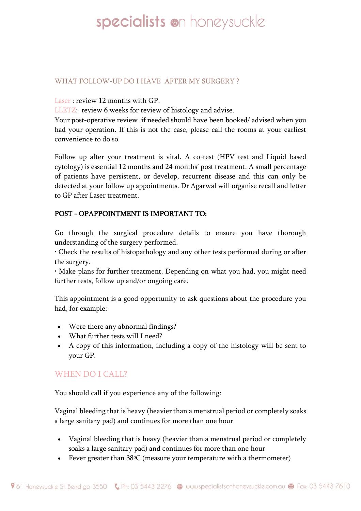#### WHAT FOLLOW-UP DO I HAVE AFTER MY SURGERY ?

Laser : review 12 months with GP.

LLETZ: review 6 weeks for review of histology and advise.

Your post-operative review if needed should have been booked/ advised when you had your operation. If this is not the case, please call the rooms at your earliest convenience to do so.

Follow up after your treatment is vital. A co-test (HPV test and Liquid based cytology) is essential 12 months and 24 months' post treatment. A small percentage of patients have persistent, or develop, recurrent disease and this can only be detected at your follow up appointments. Dr Agarwal will organise recall and letter to GP after Laser treatment.

#### POST - OPAPPOINTMENT IS IMPORTANT TO:

Go through the surgical procedure details to ensure you have thorough understanding of the surgery performed.

• Check the results of histopathology and any other tests performed during or after the surgery.

• Make plans for further treatment. Depending on what you had, you might need further tests, follow up and/or ongoing care.

This appointment is a good opportunity to ask questions about the procedure you had, for example:

- Were there any abnormal findings?
- What further tests will I need?
- A copy of this information, including a copy of the histology will be sent to your GP.

#### WHEN DO I CALL?

You should call if you experience any of the following:

Vaginal bleeding that is heavy (heavier than a menstrual period or completely soaks a large sanitary pad) and continues for more than one hour

- Vaginal bleeding that is heavy (heavier than a menstrual period or completely soaks a large sanitary pad) and continues for more than one hour
- Fever greater than 38ºC (measure your temperature with a thermometer)